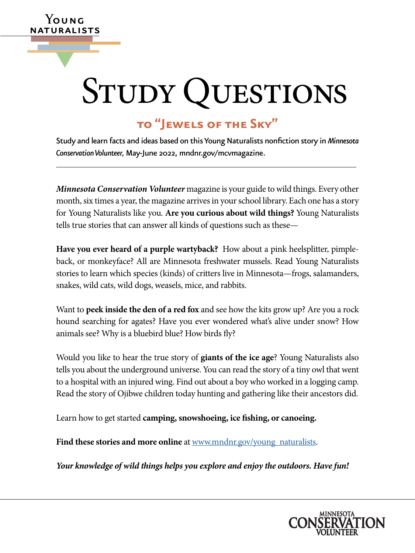# STUDY QUESTIONS

# **to "Jewels of the Sky"**

**Y**oung naturalists

▼

Study and learn facts and ideas based on this Young Naturalists nonfction story in *Minnesota Conservation Volunteer,* May-June 2022, [mndnr.gov/mcvmagazine](http://www.mndnr.gov/mcvmagazine).

*Minnesota Conservation Volunteer* magazine is your guide to wild things. Every other month, six times a year, the magazine arrives in your school library. Each one has a story for Young Naturalists like you. **Are you curious about wild things?** Young Naturalists tells true stories that can answer all kinds of questions such as these—

**Have you ever heard of a purple wartyback?** How about a pink heelsplitter, pimpleback, or monkeyface? All are Minnesota freshwater mussels. Read Young Naturalists stories to learn which species (kinds) of critters live in Minnesota—frogs, salamanders, snakes, wild cats, wild dogs, weasels, mice, and rabbits.

Want to **peek inside the den of a red fox** and see how the kits grow up? Are you a rock hound searching for agates? Have you ever wondered what's alive under snow? How animals see? Why is a bluebird blue? How birds fy?

Would you like to hear the true story of **giants of the ice age**? Young Naturalists also tells you about the underground universe. You can read the story of a tiny owl that went to a hospital with an injured wing. Find out about a boy who worked in a logging camp. Read the story of Ojibwe children today hunting and gathering like their ancestors did.

Learn how to get started **camping, snowshoeing, ice fshing, or canoeing.** 

Find these stories and more online at [www.mndnr.gov/young\\_naturalists](http://www.dnr.state.mn.us/mcvmagazine/young-naturalists.html).

*Your knowledge of wild things helps you explore and enjoy the outdoors. Have fun!* 

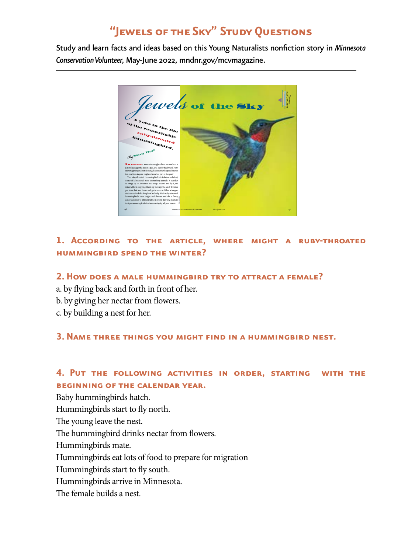# **"Jewels of the Sky" Study Questions**

Study and learn facts and ideas based on this Young Naturalists nonfction story in *Minnesota Conservation Volunteer,* May-June 2022, [mndnr.gov/mcvmagazine](http://www.mndnr.gov/mcvmagazine).



## **1. According to the article, where might a ruby-throated hummingbird spend the winter?**

#### **2. How does a male hummingbird try to attract a female?**

- a. by fying back and forth in front of her.
- b. by giving her nectar from fowers.
- c. by building a nest for her.

#### **3. Name three things you might fnd in a hummingbird nest.**

#### **4. Put the following activities in order, starting with the beginning of the calendar year.**

Baby hummingbirds hatch. Hummingbirds start to fy north. The young leave the nest. The hummingbird drinks nectar from flowers. Hummingbirds mate. Hummingbirds eat lots of food to prepare for migration Hummingbirds start to fy south. Hummingbirds arrive in Minnesota. The female builds a nest.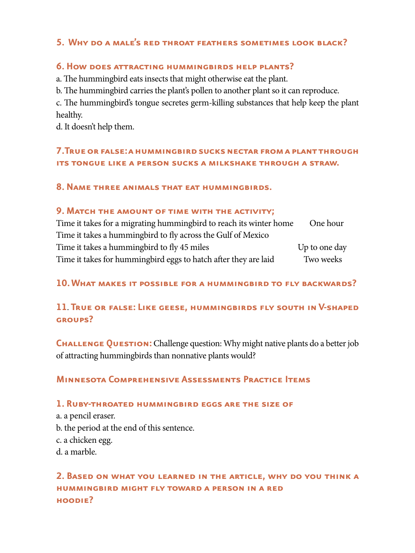# **5. Why do a male's red throat feathers sometimes look black?**

#### **6. How does attracting hummingbirds help plants?**

a. The humming bird eats insects that might otherwise eat the plant.

b. The humming bird carries the plant's pollen to another plant so it can reproduce.

c. The humming bird's tongue secretes germ-killing substances that help keep the plant healthy.

d. It doesn't help them.

# **7.True or false: a hummingbird sucks nectar from a plant through its tongue like a person sucks a milkshake through a straw.**

#### **8. Name three animals that eat hummingbirds.**

#### **9. Match the amount of time with the activity;**

| Time it takes for a migrating humming bird to reach its winter home | One hour      |
|---------------------------------------------------------------------|---------------|
| Time it takes a hummingbird to fly across the Gulf of Mexico        |               |
| Time it takes a hummingbird to fly 45 miles                         | Up to one day |
| Time it takes for hummingbird eggs to hatch after they are laid     | Two weeks     |

#### **10. WHAT MAKES IT POSSIBLE FOR A HUMMINGBIRD TO FLY BACKWARDS?**

## **11**. **True or false: Like geese, hummingbirds fy south in V-shaped groups?**

**CHALLENGE QUESTION:** Challenge question: Why might native plants do a better job of attracting hummingbirds than nonnative plants would?

#### **Minnesota Comprehensive Assessments Practice Items**

#### **1. Ruby-throated hummingbird eggs are the size of**

a. a pencil eraser. b. the period at the end of this sentence. c. a chicken egg. d. a marble.

# **2. Based on what you learned in the article, why do you think a HUMMINGBIRD MIGHT FLY TOWARD A PERSON IN A RED hoodie?**